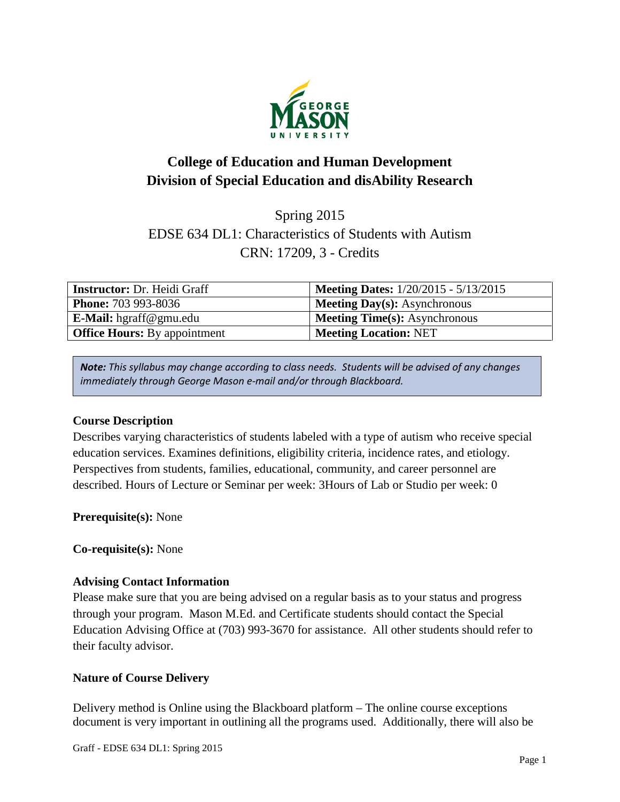

# **College of Education and Human Development Division of Special Education and disAbility Research**

## Spring 2015 EDSE 634 DL1: Characteristics of Students with Autism CRN: 17209, 3 - Credits

| <b>Instructor:</b> Dr. Heidi Graff  | <b>Meeting Dates:</b> 1/20/2015 - 5/13/2015 |
|-------------------------------------|---------------------------------------------|
| <b>Phone: 703 993-8036</b>          | <b>Meeting Day(s):</b> Asynchronous         |
| E-Mail: hgraff@gmu.edu              | <b>Meeting Time(s): Asynchronous</b>        |
| <b>Office Hours:</b> By appointment | <b>Meeting Location: NET</b>                |

*Note: This syllabus may change according to class needs. Students will be advised of any changes immediately through George Mason e-mail and/or through Blackboard.*

## **Course Description**

Describes varying characteristics of students labeled with a type of autism who receive special education services. Examines definitions, eligibility criteria, incidence rates, and etiology. Perspectives from students, families, educational, community, and career personnel are described. Hours of Lecture or Seminar per week: 3Hours of Lab or Studio per week: 0

**Prerequisite(s):** None

**Co-requisite(s):** None

## **Advising Contact Information**

Please make sure that you are being advised on a regular basis as to your status and progress through your program. Mason M.Ed. and Certificate students should contact the Special Education Advising Office at (703) 993-3670 for assistance. All other students should refer to their faculty advisor.

## **Nature of Course Delivery**

Delivery method is Online using the Blackboard platform – The online course exceptions document is very important in outlining all the programs used. Additionally, there will also be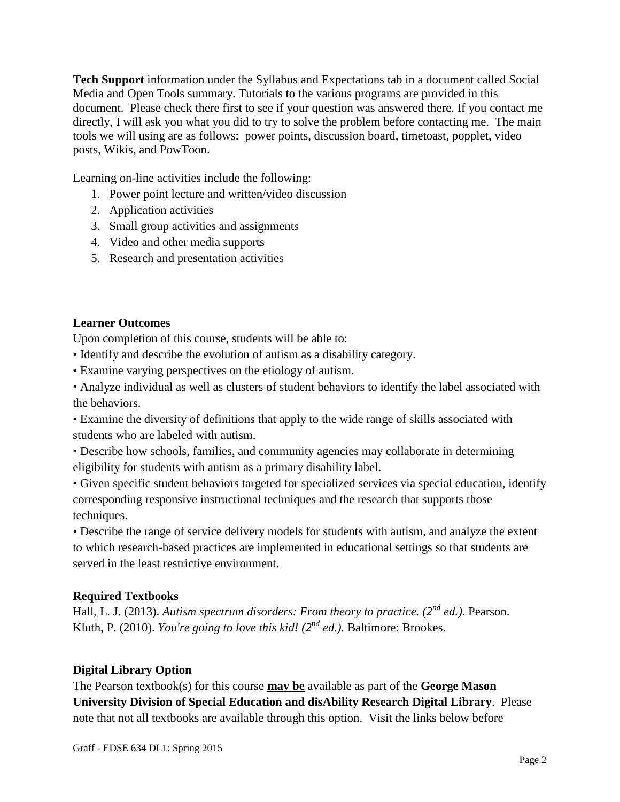**Tech Support** information under the Syllabus and Expectations tab in a document called Social Media and Open Tools summary. Tutorials to the various programs are provided in this document. Please check there first to see if your question was answered there. If you contact me directly, I will ask you what you did to try to solve the problem before contacting me. The main tools we will using are as follows: power points, discussion board, timetoast, popplet, video posts, Wikis, and PowToon.

Learning on-line activities include the following:

- 1. Power point lecture and written/video discussion
- 2. Application activities
- 3. Small group activities and assignments
- 4. Video and other media supports
- 5. Research and presentation activities

## **Learner Outcomes**

Upon completion of this course, students will be able to:

- Identify and describe the evolution of autism as a disability category.
- Examine varying perspectives on the etiology of autism.

• Analyze individual as well as clusters of student behaviors to identify the label associated with the behaviors.

• Examine the diversity of definitions that apply to the wide range of skills associated with students who are labeled with autism.

• Describe how schools, families, and community agencies may collaborate in determining eligibility for students with autism as a primary disability label.

• Given specific student behaviors targeted for specialized services via special education, identify corresponding responsive instructional techniques and the research that supports those techniques.

• Describe the range of service delivery models for students with autism, and analyze the extent to which research-based practices are implemented in educational settings so that students are served in the least restrictive environment.

## **Required Textbooks**

Hall, L. J. (2013). *Autism spectrum disorders: From theory to practice. (2nd ed.).* Pearson. Kluth, P. (2010). *You're going to love this kid! (2nd ed.).* Baltimore: Brookes.

## **Digital Library Option**

The Pearson textbook(s) for this course **may be** available as part of the **George Mason University Division of Special Education and disAbility Research Digital Library**. Please note that not all textbooks are available through this option. Visit the links below before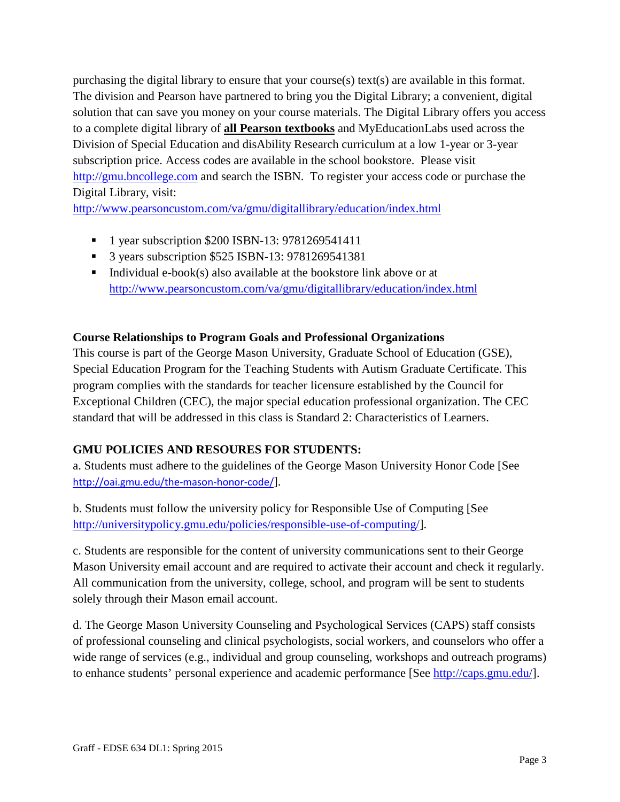purchasing the digital library to ensure that your course(s) text(s) are available in this format. The division and Pearson have partnered to bring you the Digital Library; a convenient, digital solution that can save you money on your course materials. The Digital Library offers you access to a complete digital library of **all Pearson textbooks** and MyEducationLabs used across the Division of Special Education and disAbility Research curriculum at a low 1-year or 3-year subscription price. Access codes are available in the school bookstore. Please visit [http://gmu.bncollege.com](http://gmu.bncollege.com/webapp/wcs/stores/servlet/BNCBHomePage?storeId=15552&catalogId=10001&langId=-1) and search the ISBN. To register your access code or purchase the Digital Library, visit:

<http://www.pearsoncustom.com/va/gmu/digitallibrary/education/index.html>

- <sup>1</sup> 1 year subscription \$200 ISBN-13: 9781269541411
- 3 years subscription \$525 ISBN-13: 9781269541381
- Individual e-book(s) also available at the bookstore link above or at <http://www.pearsoncustom.com/va/gmu/digitallibrary/education/index.html>

#### **Course Relationships to Program Goals and Professional Organizations**

This course is part of the George Mason University, Graduate School of Education (GSE), Special Education Program for the Teaching Students with Autism Graduate Certificate. This program complies with the standards for teacher licensure established by the Council for Exceptional Children (CEC), the major special education professional organization. The CEC standard that will be addressed in this class is Standard 2: Characteristics of Learners.

## **GMU POLICIES AND RESOURES FOR STUDENTS:**

a. Students must adhere to the guidelines of the George Mason University Honor Code [See <http://oai.gmu.edu/the-mason-honor-code/>].

b. Students must follow the university policy for Responsible Use of Computing [See [http://universitypolicy.gmu.edu/policies/responsible-use-of-computing/\]](http://universitypolicy.gmu.edu/policies/responsible-use-of-computing/).

c. Students are responsible for the content of university communications sent to their George Mason University email account and are required to activate their account and check it regularly. All communication from the university, college, school, and program will be sent to students solely through their Mason email account.

d. The George Mason University Counseling and Psychological Services (CAPS) staff consists of professional counseling and clinical psychologists, social workers, and counselors who offer a wide range of services (e.g., individual and group counseling, workshops and outreach programs) to enhance students' personal experience and academic performance [See [http://caps.gmu.edu/\]](http://caps.gmu.edu/).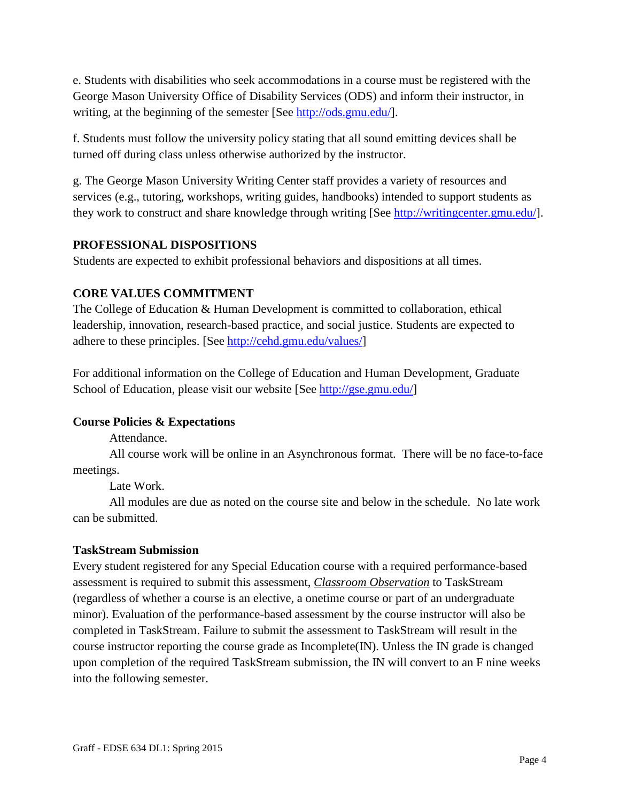e. Students with disabilities who seek accommodations in a course must be registered with the George Mason University Office of Disability Services (ODS) and inform their instructor, in writing, at the beginning of the semester [See [http://ods.gmu.edu/\]](http://ods.gmu.edu/).

f. Students must follow the university policy stating that all sound emitting devices shall be turned off during class unless otherwise authorized by the instructor.

g. The George Mason University Writing Center staff provides a variety of resources and services (e.g., tutoring, workshops, writing guides, handbooks) intended to support students as they work to construct and share knowledge through writing [See [http://writingcenter.gmu.edu/\]](http://writingcenter.gmu.edu/).

## **PROFESSIONAL DISPOSITIONS**

Students are expected to exhibit professional behaviors and dispositions at all times.

## **CORE VALUES COMMITMENT**

The College of Education & Human Development is committed to collaboration, ethical leadership, innovation, research-based practice, and social justice. Students are expected to adhere to these principles. [See [http://cehd.gmu.edu/values/\]](http://cehd.gmu.edu/values/)

For additional information on the College of Education and Human Development, Graduate School of Education, please visit our website [See [http://gse.gmu.edu/\]](http://gse.gmu.edu/)

## **Course Policies & Expectations**

Attendance.

All course work will be online in an Asynchronous format. There will be no face-to-face meetings.

Late Work.

All modules are due as noted on the course site and below in the schedule. No late work can be submitted.

## **TaskStream Submission**

Every student registered for any Special Education course with a required performance-based assessment is required to submit this assessment, *Classroom Observation* to TaskStream (regardless of whether a course is an elective, a onetime course or part of an undergraduate minor). Evaluation of the performance-based assessment by the course instructor will also be completed in TaskStream. Failure to submit the assessment to TaskStream will result in the course instructor reporting the course grade as Incomplete(IN). Unless the IN grade is changed upon completion of the required TaskStream submission, the IN will convert to an F nine weeks into the following semester.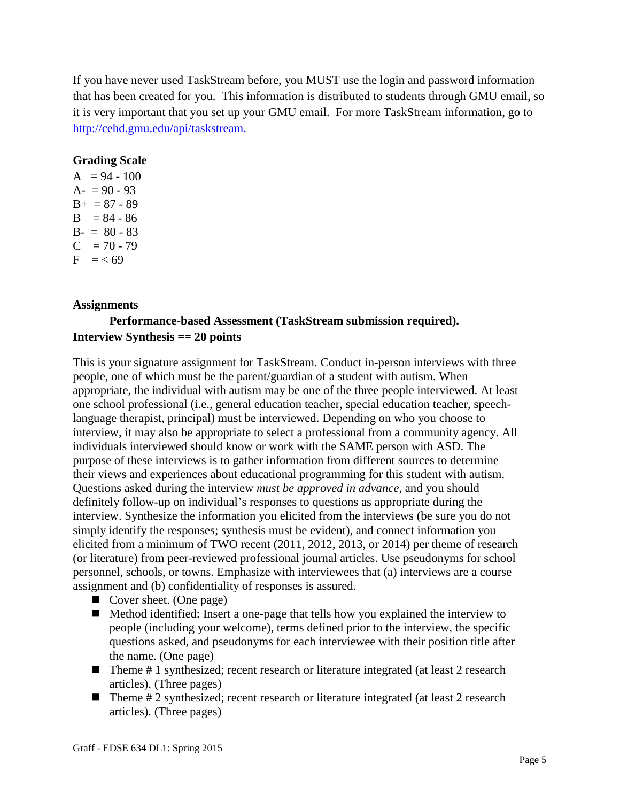If you have never used TaskStream before, you MUST use the login and password information that has been created for you. This information is distributed to students through GMU email, so it is very important that you set up your GMU email. For more TaskStream information, go to [http://cehd.gmu.edu/api/taskstream.](http://cehd.gmu.edu/api/taskstream)

#### **Grading Scale**

 $A = 94 - 100$  $A- = 90 - 93$  $B_{+} = 87 - 89$  $B = 84 - 86$  $B - = 80 - 83$  $C = 70 - 79$  $F = < 69$ 

#### **Assignments**

## **Performance-based Assessment (TaskStream submission required). Interview Synthesis == 20 points**

This is your signature assignment for TaskStream. Conduct in-person interviews with three people, one of which must be the parent/guardian of a student with autism. When appropriate, the individual with autism may be one of the three people interviewed. At least one school professional (i.e., general education teacher, special education teacher, speechlanguage therapist, principal) must be interviewed. Depending on who you choose to interview, it may also be appropriate to select a professional from a community agency. All individuals interviewed should know or work with the SAME person with ASD. The purpose of these interviews is to gather information from different sources to determine their views and experiences about educational programming for this student with autism. Questions asked during the interview *must be approved in advance*, and you should definitely follow-up on individual's responses to questions as appropriate during the interview. Synthesize the information you elicited from the interviews (be sure you do not simply identify the responses; synthesis must be evident), and connect information you elicited from a minimum of TWO recent (2011, 2012, 2013, or 2014) per theme of research (or literature) from peer-reviewed professional journal articles. Use pseudonyms for school personnel, schools, or towns. Emphasize with interviewees that (a) interviews are a course assignment and (b) confidentiality of responses is assured.

- Cover sheet. (One page)
- Method identified: Insert a one-page that tells how you explained the interview to people (including your welcome), terms defined prior to the interview, the specific questions asked, and pseudonyms for each interviewee with their position title after the name. (One page)
- $\blacksquare$  Theme # 1 synthesized; recent research or literature integrated (at least 2 research articles). (Three pages)
- $\blacksquare$  Theme  $\# 2$  synthesized; recent research or literature integrated (at least 2 research articles). (Three pages)